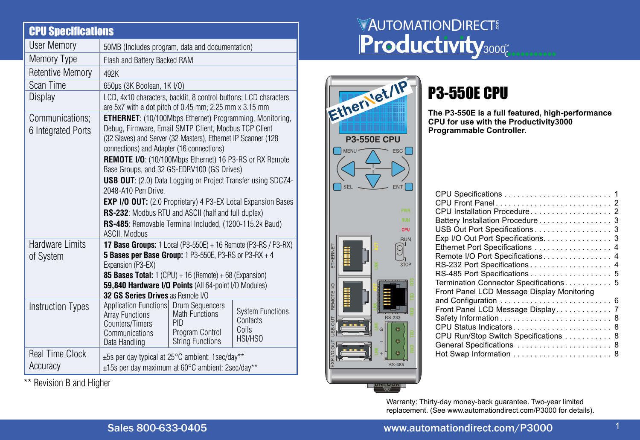| <b>CPU Specifications</b>             |                                                                                                                                                                                                                                                                                                                                                                                                                                                                                                                                                                                                                                                                |                                                                            |                                                         |
|---------------------------------------|----------------------------------------------------------------------------------------------------------------------------------------------------------------------------------------------------------------------------------------------------------------------------------------------------------------------------------------------------------------------------------------------------------------------------------------------------------------------------------------------------------------------------------------------------------------------------------------------------------------------------------------------------------------|----------------------------------------------------------------------------|---------------------------------------------------------|
| <b>User Memory</b>                    | 50MB (Includes program, data and documentation)                                                                                                                                                                                                                                                                                                                                                                                                                                                                                                                                                                                                                |                                                                            |                                                         |
| Memory Type                           | Flash and Battery Backed RAM                                                                                                                                                                                                                                                                                                                                                                                                                                                                                                                                                                                                                                   |                                                                            |                                                         |
| Retentive Memory                      | 492K                                                                                                                                                                                                                                                                                                                                                                                                                                                                                                                                                                                                                                                           |                                                                            |                                                         |
| Scan Time                             | 650µs (3K Boolean, 1K I/O)                                                                                                                                                                                                                                                                                                                                                                                                                                                                                                                                                                                                                                     |                                                                            |                                                         |
| Display                               | LCD, 4x10 characters, backlit, 8 control buttons; LCD characters<br>are 5x7 with a dot pitch of 0.45 mm; 2.25 mm x 3.15 mm                                                                                                                                                                                                                                                                                                                                                                                                                                                                                                                                     |                                                                            |                                                         |
| Communications:<br>6 Integrated Ports | <b>ETHERNET:</b> (10/100Mbps Ethernet) Programming, Monitoring,<br>Debug, Firmware, Email SMTP Client, Modbus TCP Client<br>(32 Slaves) and Server (32 Masters), Ethernet IP Scanner (128<br>connections) and Adapter (16 connections)<br>REMOTE I/O: (10/100Mbps Ethernet) 16 P3-RS or RX Remote<br>Base Groups, and 32 GS-EDRV100 (GS Drives)<br><b>USB OUT:</b> (2.0) Data Logging or Project Transfer using SDCZ4-<br>2048-A10 Pen Drive.<br><b>EXP I/O OUT:</b> (2.0 Proprietary) 4 P3-EX Local Expansion Bases<br>RS-232: Modbus RTU and ASCII (half and full duplex)<br>RS-485: Removable Terminal Included, (1200-115.2k Baud)<br><b>ASCII. Modbus</b> |                                                                            |                                                         |
| Hardware I imits<br>of System         | <b>17 Base Groups:</b> $1$ Local (P3-550E) + 16 Remote (P3-RS / P3-RX)<br><b>5 Bases per Base Group:</b> 1 P3-550E, P3-RS or P3-RX $+4$<br>Expansion (P3-EX)<br>85 Bases Total: $1$ (CPU) + 16 (Remote) + 68 (Expansion)<br>59,840 Hardware I/O Points (All 64-point I/O Modules)<br>32 GS Series Drives as Remote I/O                                                                                                                                                                                                                                                                                                                                         |                                                                            |                                                         |
| <b>Instruction Types</b>              | Application Functions Drum Sequencers<br><b>Array Functions</b><br>Counters/Timers<br>Communications<br>Data Handling                                                                                                                                                                                                                                                                                                                                                                                                                                                                                                                                          | <b>Math Functions</b><br>PID<br>Program Control<br><b>String Functions</b> | <b>System Functions</b><br>Contacts<br>Coils<br>HSI/HSO |
| <b>Real Time Clock</b><br>Accuracy    | $\pm 5s$ per day typical at 25 $\degree$ C ambient: 1sec/day**<br>±15s per day maximum at 60°C ambient: 2sec/day**                                                                                                                                                                                                                                                                                                                                                                                                                                                                                                                                             |                                                                            |                                                         |

\*\* Revision B and Higher

# **VAUTOMATIONDIRECT Productivity3000**

| Ełĺ       |            | lerilet/IP        |                          |
|-----------|------------|-------------------|--------------------------|
|           | P3-55      | <b>50E CPU</b>    |                          |
|           | MENI       |                   | ESC <sup> </sup>         |
|           | <b>SEI</b> |                   | ENT<br><b>PWR</b>        |
|           |            |                   | <b>RUN</b><br><b>CPU</b> |
| ETHERNET  |            |                   | RUN<br><b>STOP</b>       |
| REMOTE VO |            | <b>Properties</b> | RTS<br><b>RS-232</b>     |
| g         |            | G                 | G                        |
| EXP       |            | Ħ                 | ¢<br>a<br><b>RS-485</b>  |

# P3-550E CPU

**The P3-550E is a full featured, high-performance CPU for use with the Productivity3000 Programmable Controller.**

| Battery Installation Procedure 3<br>USB Out Port Specifications 3<br>Exp I/O Out Port Specifications. 3<br>Ethernet Port Specifications  4<br>Remote I/O Port Specifications 4<br>RS-232 Port Specifications 4<br>RS-485 Port Specifications 5<br>Termination Connector Specifications 5 |
|------------------------------------------------------------------------------------------------------------------------------------------------------------------------------------------------------------------------------------------------------------------------------------------|
| Front Panel LCD Message Display Monitoring<br>Front Panel LCD Message Display 7<br>CPU Run/Stop Switch Specifications 8<br>General Specifications  8                                                                                                                                     |

Warranty: Thirty-day money-back guarantee. Two-year limited replacement. (See www.automationdirect.com/P3000 for details).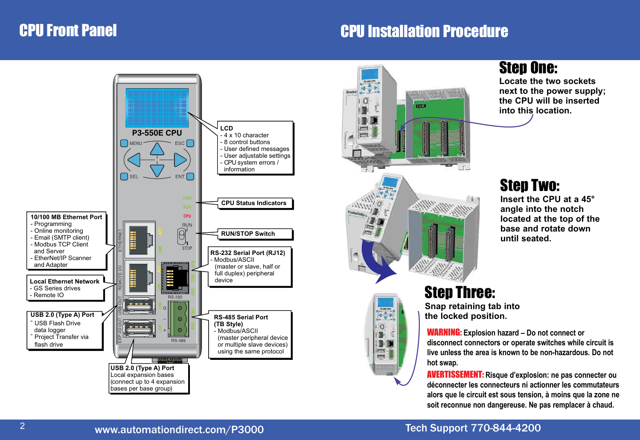## CPU Front Panel

## CPU Installation Procedure





 $\Box$ m H<sub>b</sub> **Frank zms** 

## Step One:

**Locate the two sockets next to the power supply; the CPU will be inserted into this location.**

## Step Two:

**Insert the CPU at a 45° angle into the notch located at the top of the base and rotate down until seated.**

#### Step Three: **Snap retaining tab into**

**the locked position.**

WARNING: **Explosion hazard – Do not connect or disconnect connectors or operate switches while circuit is live unless the area is known to be non-hazardous. Do not hot swap.**

AVERTISSEMENT: **Risque d'explosion: ne pas connecter ou déconnecter les connecteurs ni actionner les commutateurs alors que le circuit est sous tension, à moins que la zone ne soit reconnue non dangereuse. Ne pas remplacer à chaud.**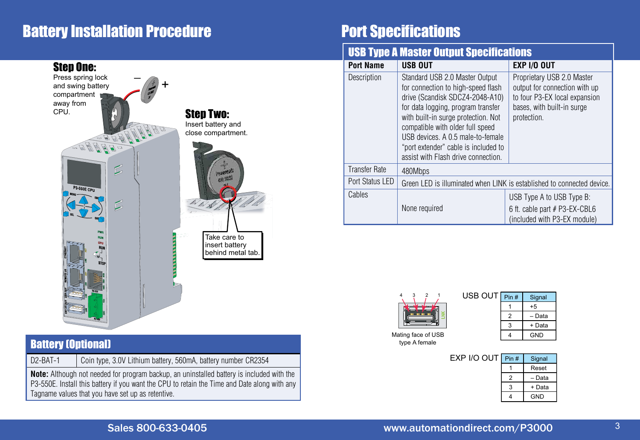## Battery Installation Procedure



#### Battery (Optional)

D2-BAT-1 | Coin type, 3.0V Lithium battery, 560mA, battery number CR2354

**Note:** Although not needed for program backup, an uninstalled battery is included with the P3-550E. Install this battery if you want the CPU to retain the Time and Date along with any Tagname values that you have set up as retentive.

## Port Specifications

#### **USB Type A Master Output Specifications**

| <b>Port Name</b>     | <b>USB OUT</b>                                                                                                                                                                                                                                                                                                                               | <b>EXP I/O OUT</b>                                                                                                                        |  |
|----------------------|----------------------------------------------------------------------------------------------------------------------------------------------------------------------------------------------------------------------------------------------------------------------------------------------------------------------------------------------|-------------------------------------------------------------------------------------------------------------------------------------------|--|
| Description          | Standard USB 2.0 Master Output<br>for connection to high-speed flash<br>drive (Scandisk SDCZ4-2048-A10)<br>for data logging, program transfer<br>with built-in surge protection. Not<br>compatible with older full speed<br>USB devices, A 0.5 male-to-female<br>"port extender" cable is included to<br>assist with Flash drive connection. | Proprietary USB 2.0 Master<br>output for connection with up<br>to four P3-EX local expansion<br>bases, with built-in surge<br>protection. |  |
| <b>Transfer Rate</b> | 480Mbps                                                                                                                                                                                                                                                                                                                                      |                                                                                                                                           |  |
| Port Status LED      | Green LED is illuminated when LINK is established to connected device.                                                                                                                                                                                                                                                                       |                                                                                                                                           |  |
| Cables               |                                                                                                                                                                                                                                                                                                                                              | USB Type A to USB Type B:                                                                                                                 |  |
|                      | None required                                                                                                                                                                                                                                                                                                                                | 6 ft. cable part # P3-EX-CBL6<br>(included with P3-EX module)                                                                             |  |



| USB OUT | Pin# | Signal |
|---------|------|--------|
|         |      | $+5$   |
|         |      | – Data |
|         |      | + Data |
|         |      | GND    |

Mating face of USB type A female

| EXP I/O OUT  Pin # |   | Signal     |
|--------------------|---|------------|
|                    |   | Reset      |
|                    | 2 | - Data     |
|                    | З | + Data     |
|                    |   | <b>GND</b> |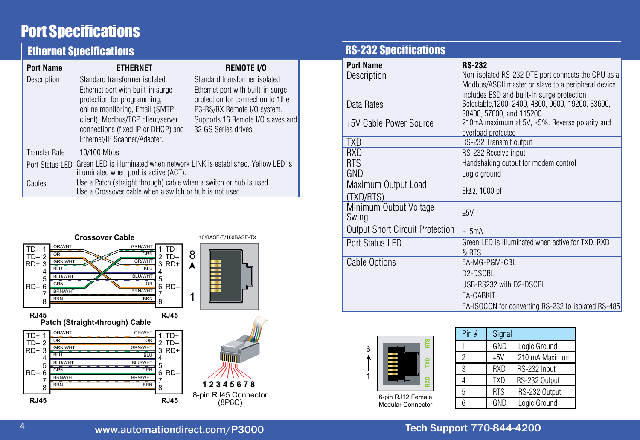## Port Specifications

|                      | <b>Ethernet Specifications</b>                                                                                                                                                                                                                                                                                                                                                                                                                         |  |  |  |
|----------------------|--------------------------------------------------------------------------------------------------------------------------------------------------------------------------------------------------------------------------------------------------------------------------------------------------------------------------------------------------------------------------------------------------------------------------------------------------------|--|--|--|
| <b>Port Name</b>     | <b>REMOTE I/O</b><br><b>ETHERNET</b>                                                                                                                                                                                                                                                                                                                                                                                                                   |  |  |  |
| Description          | Standard transformer isolated<br>Standard transformer isolated<br>Ethernet port with built-in surge<br>Ethernet port with built-in surge<br>protection for programming,<br>protection for connection to 1the<br>online monitoring, Email (SMTP)<br>P3-RS/RX Remote I/O system.<br>client), Modbus/TCP client/server<br>Supports 16 Remote I/O slaves and<br>32 GS Series drives.<br>connections (fixed IP or DHCP) and<br>Ethernet/IP Scanner/Adapter. |  |  |  |
| <b>Transfer Rate</b> | 10/100 Mbps                                                                                                                                                                                                                                                                                                                                                                                                                                            |  |  |  |
| Port Status LED      | Green LED is illuminated when network LINK is established. Yellow LED is<br>illuminated when port is active (ACT).                                                                                                                                                                                                                                                                                                                                     |  |  |  |
| Cables               | Use a Patch (straight through) cable when a switch or hub is used.<br>Use a Crossover cable when a switch or hub is not used.                                                                                                                                                                                                                                                                                                                          |  |  |  |



#### RS-232 Specifications

| <b>Port Name</b>                       | <b>RS-232</b>                                         |
|----------------------------------------|-------------------------------------------------------|
| Description                            | Non-isolated RS-232 DTE port connects the CPU as a    |
|                                        | Modbus/ASCII master or slave to a peripheral device.  |
|                                        | Includes ESD and built-in surge protection            |
| Data Rates                             | Selectable, 1200, 2400, 4800, 9600, 19200, 33600,     |
|                                        | 38400, 57600, and 115200                              |
| +5V Cable Power Source                 | 210mA maximum at 5V, $\pm 5\%$ . Reverse polarity and |
|                                        | overload protected                                    |
| <b>TXD</b>                             | RS-232 Transmit output                                |
| <b>RXD</b>                             | RS-232 Receive input                                  |
| RTS                                    | Handshaking output for modem control                  |
| GND                                    | Logic ground                                          |
| Maximum Output Load                    |                                                       |
| (TXD/RTS)                              | $3k\Omega$ , 1000 pf                                  |
| Minimum Output Voltage                 |                                                       |
| Swing                                  | $+5V$                                                 |
| <b>Output Short Circuit Protection</b> | $+15mA$                                               |
|                                        |                                                       |
| Port Status LED                        | Green LED is illuminated when active for TXD, RXD     |
| Cable Options                          | & RTS<br>EA-MG-PGM-CBL                                |
|                                        |                                                       |
|                                        | D2-DSCBL                                              |
|                                        | USB-RS232 with D2-DSCBL                               |
|                                        | <b>FA-CABKIT</b>                                      |
|                                        | FA-ISOCON for converting RS-232 to isolated RS-485    |



| Pin $#$ | Signal     |                |
|---------|------------|----------------|
|         | GND        | Logic Ground   |
| 2       | $+5V$      | 210 mA Maximum |
| 3       | <b>RXD</b> | RS-232 Input   |
|         | <b>TXD</b> | RS-232 Output  |
| 5       | <b>RTS</b> | RS-232 Output  |
|         | GND        | Logic Ground   |

6-pin RJ12 Female Modular Connector

| Tech Support 770-844-42 |  |  |  |
|-------------------------|--|--|--|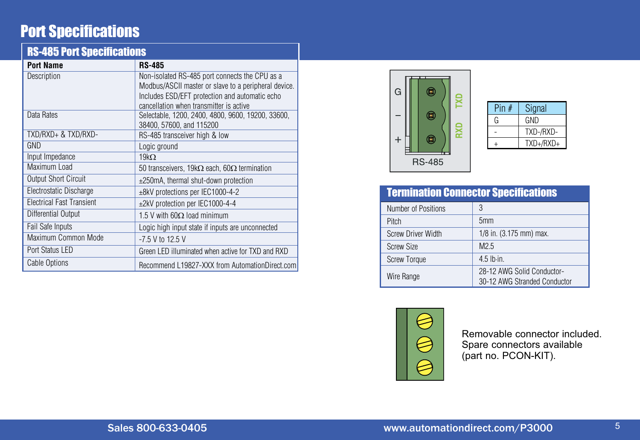## Port Specifications

| <b>RS-485 Port Specifications</b> |                                                             |
|-----------------------------------|-------------------------------------------------------------|
| <b>Port Name</b>                  | <b>RS-485</b>                                               |
| Description                       | Non-isolated RS-485 port connects the CPU as a              |
|                                   | Modbus/ASCII master or slave to a peripheral device.        |
|                                   | Includes ESD/EFT protection and automatic echo              |
|                                   | cancellation when transmitter is active                     |
| Data Rates                        | Selectable, 1200, 2400, 4800, 9600, 19200, 33600,           |
|                                   | 38400, 57600, and 115200                                    |
| TXD/RXD+ & TXD/RXD-               | RS-485 transceiver high & low                               |
| GND                               | Logic ground                                                |
| Input Impedance                   | 19k $\Omega$                                                |
| Maximum Load                      | 50 transceivers, 19k $\Omega$ each, 60 $\Omega$ termination |
| <b>Output Short Circuit</b>       | ±250mA, thermal shut-down protection                        |
| Electrostatic Discharge           | ±8kV protections per IEC1000-4-2                            |
| <b>Electrical Fast Transient</b>  | ±2kV protection per IEC1000-4-4                             |
| Differential Output               | 1.5 V with 60 $\Omega$ load minimum                         |
| Fail Safe Inputs                  | Logic high input state if inputs are unconnected            |
| Maximum Common Mode               | $-7.5$ V to 12.5 V                                          |
| Port Status LED                   | Green LED illuminated when active for TXD and RXD           |
| <b>Cable Options</b>              | Recommend L19827-XXX from AutomationDirect.com              |



| Pin $#$ | Signal      |
|---------|-------------|
| G       | GND         |
|         | TXD-/RXD-   |
|         | $TXD+/RXD+$ |

### Termination Connector Specifications

| Number of Positions       | 3                                                          |
|---------------------------|------------------------------------------------------------|
| <b>Pitch</b>              | 5 <sub>mm</sub>                                            |
| <b>Screw Driver Width</b> | 1/8 in. (3.175 mm) max.                                    |
| Screw Size                | M <sub>2</sub> 5                                           |
| <b>Screw Torque</b>       | $4.5$ lb $\cdot$ in.                                       |
| Wire Range                | 28-12 AWG Solid Conductor-<br>30-12 AWG Stranded Conductor |



Removable connector included. Spare connectors available (part no. PCON-KIT).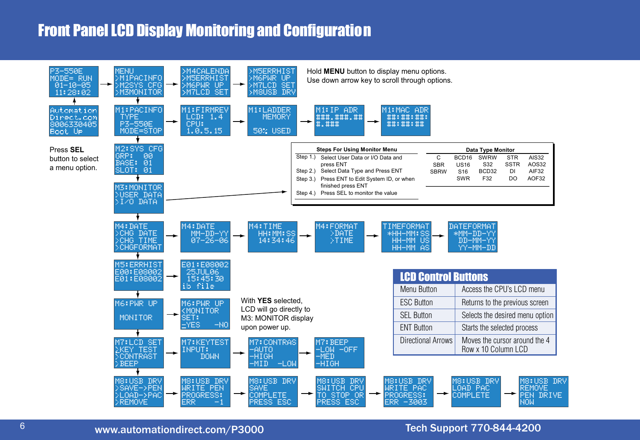## Front Panel LCD Display Monitoring and Configuration

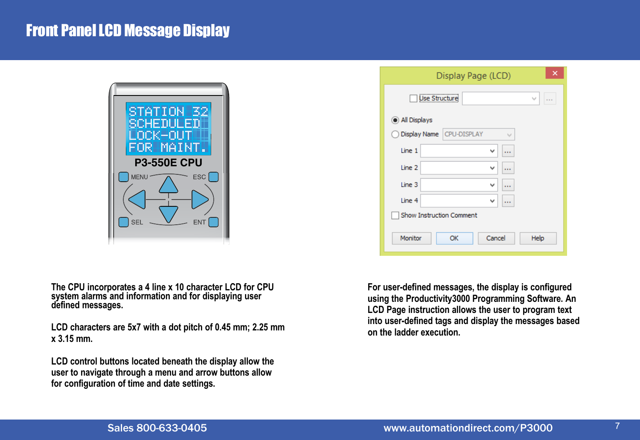## Front Panel LCD Message Display



**The CPU incorporates a 4 line x 10 character LCD for CPU system alarms and information and for displaying user defined messages.**

**LCD characters are 5x7 with a dot pitch of 0.45 mm; 2.25 mm x 3.15 mm.**

**LCD control buttons located beneath the display allow the user to navigate through a menu and arrow buttons allow for configuration of time and date settings.**

|                                    | ×<br>Display Page (LCD)       |  |
|------------------------------------|-------------------------------|--|
| <b>Use Structure</b><br>v<br>1.1.1 |                               |  |
| (a) All Displays                   |                               |  |
| -1                                 | Display Name CPU-DISPLAY<br>v |  |
| Line 1                             | v<br>                         |  |
| Line 2                             | v<br>                         |  |
| Line 3                             | v<br>                         |  |
| Line 4                             | v<br>1.1.1                    |  |
| Show Instruction Comment           |                               |  |
| Monitor                            | Cancel<br>Help<br>OK          |  |

**For user-defined messages, the display is configured using the Productivity3000 Programming Software. An LCD Page instruction allows the user to program text into user-defined tags and display the messages based on the ladder execution.**